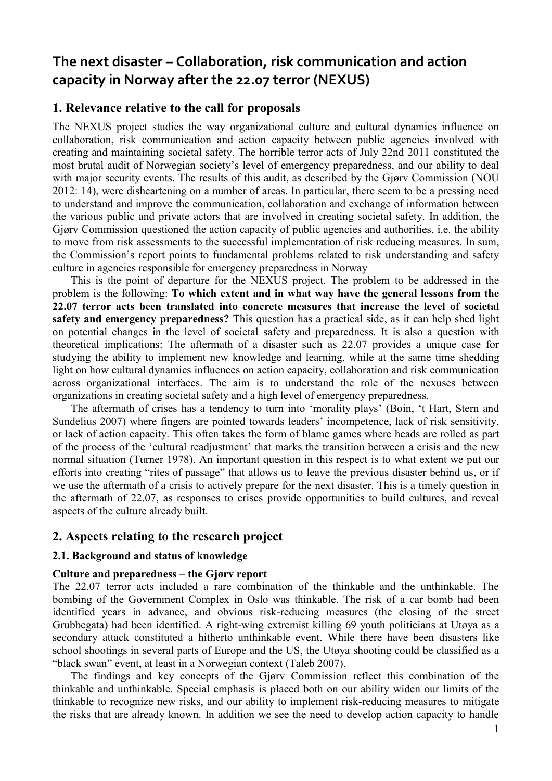# **The next disaster – Collaboration, risk communication and action capacity in Norway after the 22.07 terror (NEXUS)**

# **1. Relevance relative to the call for proposals**

The NEXUS project studies the way organizational culture and cultural dynamics influence on collaboration, risk communication and action capacity between public agencies involved with creating and maintaining societal safety. The horrible terror acts of July 22nd 2011 constituted the most brutal audit of Norwegian society's level of emergency preparedness, and our ability to deal with major security events. The results of this audit, as described by the Gjørv Commission (NOU 2012: 14), were disheartening on a number of areas. In particular, there seem to be a pressing need to understand and improve the communication, collaboration and exchange of information between the various public and private actors that are involved in creating societal safety. In addition, the Gjørv Commission questioned the action capacity of public agencies and authorities, i.e. the ability to move from risk assessments to the successful implementation of risk reducing measures. In sum, the Commission's report points to fundamental problems related to risk understanding and safety culture in agencies responsible for emergency preparedness in Norway

This is the point of departure for the NEXUS project. The problem to be addressed in the problem is the following: **To which extent and in what way have the general lessons from the 22.07 terror acts been translated into concrete measures that increase the level of societal safety and emergency preparedness?** This question has a practical side, as it can help shed light on potential changes in the level of societal safety and preparedness. It is also a question with theoretical implications: The aftermath of a disaster such as 22.07 provides a unique case for studying the ability to implement new knowledge and learning, while at the same time shedding light on how cultural dynamics influences on action capacity, collaboration and risk communication across organizational interfaces. The aim is to understand the role of the nexuses between organizations in creating societal safety and a high level of emergency preparedness.

The aftermath of crises has a tendency to turn into 'morality plays' (Boin, 't Hart, Stern and Sundelius 2007) where fingers are pointed towards leaders' incompetence, lack of risk sensitivity, or lack of action capacity. This often takes the form of blame games where heads are rolled as part of the process of the 'cultural readjustment' that marks the transition between a crisis and the new normal situation (Turner 1978). An important question in this respect is to what extent we put our efforts into creating "rites of passage" that allows us to leave the previous disaster behind us, or if we use the aftermath of a crisis to actively prepare for the next disaster. This is a timely question in the aftermath of 22.07, as responses to crises provide opportunities to build cultures, and reveal aspects of the culture already built.

### **2. Aspects relating to the research project**

### **2.1. Background and status of knowledge**

### **Culture and preparedness – the Gjørv report**

The 22.07 terror acts included a rare combination of the thinkable and the unthinkable. The bombing of the Government Complex in Oslo was thinkable. The risk of a car bomb had been identified years in advance, and obvious risk-reducing measures (the closing of the street Grubbegata) had been identified. A right-wing extremist killing 69 youth politicians at Utøya as a secondary attack constituted a hitherto unthinkable event. While there have been disasters like school shootings in several parts of Europe and the US, the Utøya shooting could be classified as a "black swan" event, at least in a Norwegian context (Taleb 2007).

The findings and key concepts of the Gjørv Commission reflect this combination of the thinkable and unthinkable. Special emphasis is placed both on our ability widen our limits of the thinkable to recognize new risks, and our ability to implement risk-reducing measures to mitigate the risks that are already known. In addition we see the need to develop action capacity to handle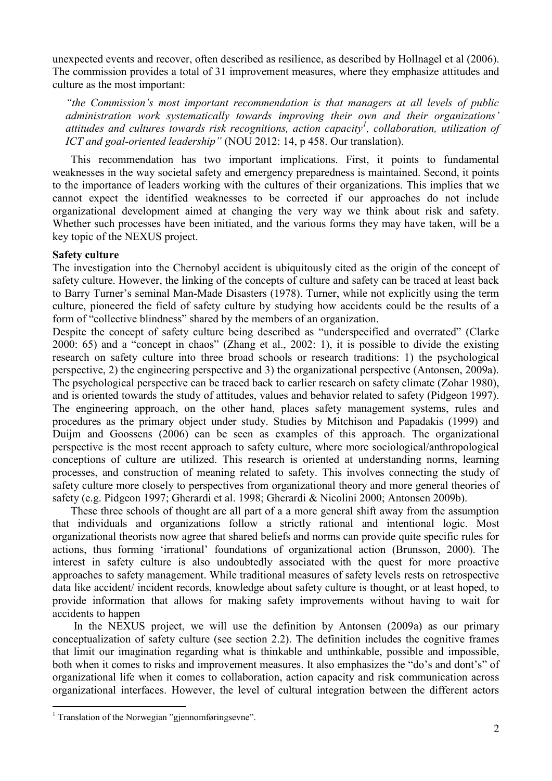unexpected events and recover, often described as resilience, as described by Hollnagel et al (2006). The commission provides a total of 31 improvement measures, where they emphasize attitudes and culture as the most important:

*"the Commission's most important recommendation is that managers at all levels of public administration work systematically towards improving their own and their organizations' attitudes and cultures towards risk recognitions, action capacity<sup>1</sup> , collaboration, utilization of ICT and goal-oriented leadership"* (NOU 2012: 14, p 458. Our translation).

This recommendation has two important implications. First, it points to fundamental weaknesses in the way societal safety and emergency preparedness is maintained. Second, it points to the importance of leaders working with the cultures of their organizations. This implies that we cannot expect the identified weaknesses to be corrected if our approaches do not include organizational development aimed at changing the very way we think about risk and safety. Whether such processes have been initiated, and the various forms they may have taken, will be a key topic of the NEXUS project.

### **Safety culture**

The investigation into the Chernobyl accident is ubiquitously cited as the origin of the concept of safety culture. However, the linking of the concepts of culture and safety can be traced at least back to Barry Turner's seminal Man-Made Disasters (1978). Turner, while not explicitly using the term culture, pioneered the field of safety culture by studying how accidents could be the results of a form of "collective blindness" shared by the members of an organization.

Despite the concept of safety culture being described as "underspecified and overrated" (Clarke 2000: 65) and a "concept in chaos" (Zhang et al., 2002: 1), it is possible to divide the existing research on safety culture into three broad schools or research traditions: 1) the psychological perspective, 2) the engineering perspective and 3) the organizational perspective (Antonsen, 2009a). The psychological perspective can be traced back to earlier research on safety climate (Zohar 1980), and is oriented towards the study of attitudes, values and behavior related to safety (Pidgeon 1997). The engineering approach, on the other hand, places safety management systems, rules and procedures as the primary object under study. Studies by Mitchison and Papadakis (1999) and Duijm and Goossens (2006) can be seen as examples of this approach. The organizational perspective is the most recent approach to safety culture, where more sociological/anthropological conceptions of culture are utilized. This research is oriented at understanding norms, learning processes, and construction of meaning related to safety. This involves connecting the study of safety culture more closely to perspectives from organizational theory and more general theories of safety (e.g. Pidgeon 1997; Gherardi et al. 1998; Gherardi & Nicolini 2000; Antonsen 2009b).

These three schools of thought are all part of a a more general shift away from the assumption that individuals and organizations follow a strictly rational and intentional logic. Most organizational theorists now agree that shared beliefs and norms can provide quite specific rules for actions, thus forming 'irrational' foundations of organizational action (Brunsson, 2000). The interest in safety culture is also undoubtedly associated with the quest for more proactive approaches to safety management. While traditional measures of safety levels rests on retrospective data like accident/ incident records, knowledge about safety culture is thought, or at least hoped, to provide information that allows for making safety improvements without having to wait for accidents to happen

In the NEXUS project, we will use the definition by Antonsen (2009a) as our primary conceptualization of safety culture (see section 2.2). The definition includes the cognitive frames that limit our imagination regarding what is thinkable and unthinkable, possible and impossible, both when it comes to risks and improvement measures. It also emphasizes the "do's and dont's" of organizational life when it comes to collaboration, action capacity and risk communication across organizational interfaces. However, the level of cultural integration between the different actors

<u>.</u>

<sup>&</sup>lt;sup>1</sup> Translation of the Norwegian "gjennomføringsevne".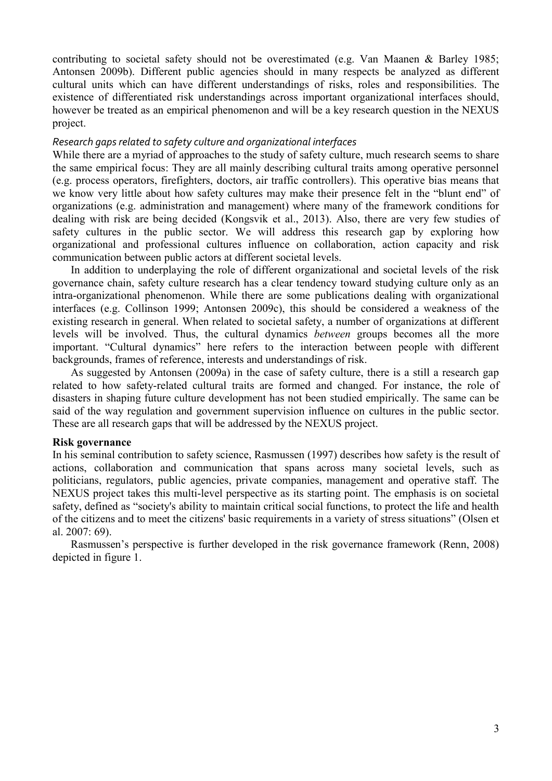contributing to societal safety should not be overestimated (e.g. Van Maanen & Barley 1985; Antonsen 2009b). Different public agencies should in many respects be analyzed as different cultural units which can have different understandings of risks, roles and responsibilities. The existence of differentiated risk understandings across important organizational interfaces should, however be treated as an empirical phenomenon and will be a key research question in the NEXUS project.

### *Research gaps related to safety culture and organizational interfaces*

While there are a myriad of approaches to the study of safety culture, much research seems to share the same empirical focus: They are all mainly describing cultural traits among operative personnel (e.g. process operators, firefighters, doctors, air traffic controllers). This operative bias means that we know very little about how safety cultures may make their presence felt in the "blunt end" of organizations (e.g. administration and management) where many of the framework conditions for dealing with risk are being decided (Kongsvik et al., 2013). Also, there are very few studies of safety cultures in the public sector. We will address this research gap by exploring how organizational and professional cultures influence on collaboration, action capacity and risk communication between public actors at different societal levels.

In addition to underplaying the role of different organizational and societal levels of the risk governance chain, safety culture research has a clear tendency toward studying culture only as an intra-organizational phenomenon. While there are some publications dealing with organizational interfaces (e.g. Collinson 1999; Antonsen 2009c), this should be considered a weakness of the existing research in general. When related to societal safety, a number of organizations at different levels will be involved. Thus, the cultural dynamics *between* groups becomes all the more important. "Cultural dynamics" here refers to the interaction between people with different backgrounds, frames of reference, interests and understandings of risk.

As suggested by Antonsen (2009a) in the case of safety culture, there is a still a research gap related to how safety-related cultural traits are formed and changed. For instance, the role of disasters in shaping future culture development has not been studied empirically. The same can be said of the way regulation and government supervision influence on cultures in the public sector. These are all research gaps that will be addressed by the NEXUS project.

### **Risk governance**

In his seminal contribution to safety science, Rasmussen (1997) describes how safety is the result of actions, collaboration and communication that spans across many societal levels, such as politicians, regulators, public agencies, private companies, management and operative staff. The NEXUS project takes this multi-level perspective as its starting point. The emphasis is on societal safety, defined as "society's ability to maintain critical social functions, to protect the life and health of the citizens and to meet the citizens' basic requirements in a variety of stress situations" (Olsen et al. 2007: 69).

Rasmussen's perspective is further developed in the risk governance framework (Renn, 2008) depicted in figure 1.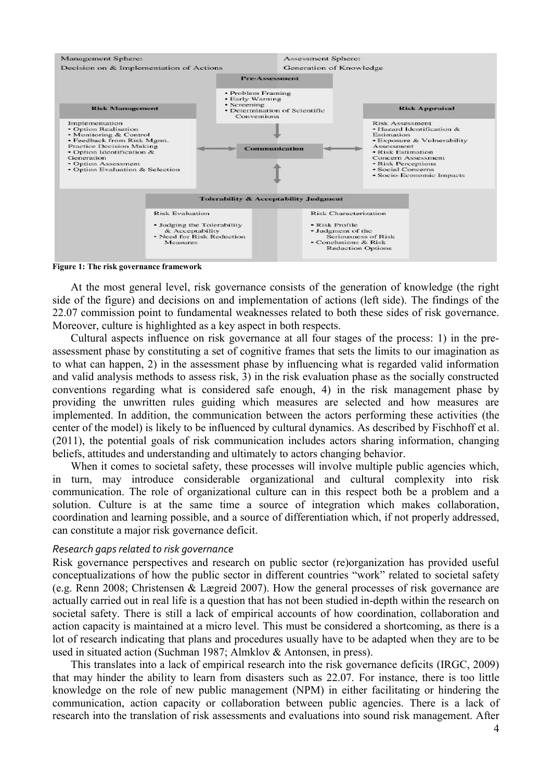

**Figure 1: The risk governance framework** 

At the most general level, risk governance consists of the generation of knowledge (the right side of the figure) and decisions on and implementation of actions (left side). The findings of the 22.07 commission point to fundamental weaknesses related to both these sides of risk governance. Moreover, culture is highlighted as a key aspect in both respects.

Cultural aspects influence on risk governance at all four stages of the process: 1) in the preassessment phase by constituting a set of cognitive frames that sets the limits to our imagination as to what can happen, 2) in the assessment phase by influencing what is regarded valid information and valid analysis methods to assess risk, 3) in the risk evaluation phase as the socially constructed conventions regarding what is considered safe enough, 4) in the risk management phase by providing the unwritten rules guiding which measures are selected and how measures are implemented. In addition, the communication between the actors performing these activities (the center of the model) is likely to be influenced by cultural dynamics. As described by Fischhoff et al. (2011), the potential goals of risk communication includes actors sharing information, changing beliefs, attitudes and understanding and ultimately to actors changing behavior.

When it comes to societal safety, these processes will involve multiple public agencies which, in turn, may introduce considerable organizational and cultural complexity into risk communication. The role of organizational culture can in this respect both be a problem and a solution. Culture is at the same time a source of integration which makes collaboration, coordination and learning possible, and a source of differentiation which, if not properly addressed, can constitute a major risk governance deficit.

### *Research gaps related to risk governance*

Risk governance perspectives and research on public sector (re)organization has provided useful conceptualizations of how the public sector in different countries "work" related to societal safety (e.g. Renn 2008; Christensen & Lægreid 2007). How the general processes of risk governance are actually carried out in real life is a question that has not been studied in-depth within the research on societal safety. There is still a lack of empirical accounts of how coordination, collaboration and action capacity is maintained at a micro level. This must be considered a shortcoming, as there is a lot of research indicating that plans and procedures usually have to be adapted when they are to be used in situated action (Suchman 1987; Almklov & Antonsen, in press).

This translates into a lack of empirical research into the risk governance deficits (IRGC, 2009) that may hinder the ability to learn from disasters such as 22.07. For instance, there is too little knowledge on the role of new public management (NPM) in either facilitating or hindering the communication, action capacity or collaboration between public agencies. There is a lack of research into the translation of risk assessments and evaluations into sound risk management. After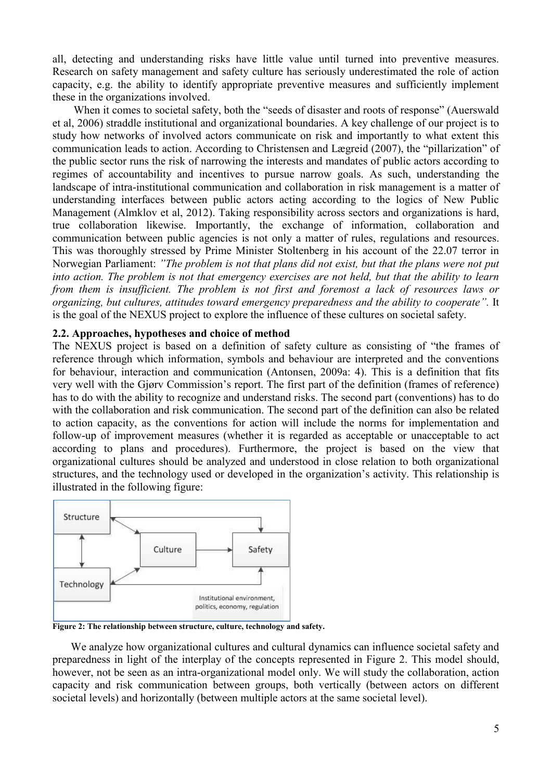all, detecting and understanding risks have little value until turned into preventive measures. Research on safety management and safety culture has seriously underestimated the role of action capacity, e.g. the ability to identify appropriate preventive measures and sufficiently implement these in the organizations involved.

When it comes to societal safety, both the "seeds of disaster and roots of response" (Auerswald et al, 2006) straddle institutional and organizational boundaries. A key challenge of our project is to study how networks of involved actors communicate on risk and importantly to what extent this communication leads to action. According to Christensen and Lægreid (2007), the "pillarization" of the public sector runs the risk of narrowing the interests and mandates of public actors according to regimes of accountability and incentives to pursue narrow goals. As such, understanding the landscape of intra-institutional communication and collaboration in risk management is a matter of understanding interfaces between public actors acting according to the logics of New Public Management (Almklov et al, 2012). Taking responsibility across sectors and organizations is hard, true collaboration likewise. Importantly, the exchange of information, collaboration and communication between public agencies is not only a matter of rules, regulations and resources. This was thoroughly stressed by Prime Minister Stoltenberg in his account of the 22.07 terror in Norwegian Parliament: *"The problem is not that plans did not exist, but that the plans were not put into action. The problem is not that emergency exercises are not held, but that the ability to learn from them is insufficient. The problem is not first and foremost a lack of resources laws or organizing, but cultures, attitudes toward emergency preparedness and the ability to cooperate".* It is the goal of the NEXUS project to explore the influence of these cultures on societal safety.

### **2.2. Approaches, hypotheses and choice of method**

The NEXUS project is based on a definition of safety culture as consisting of "the frames of reference through which information, symbols and behaviour are interpreted and the conventions for behaviour, interaction and communication (Antonsen, 2009a: 4). This is a definition that fits very well with the Gjørv Commission's report. The first part of the definition (frames of reference) has to do with the ability to recognize and understand risks. The second part (conventions) has to do with the collaboration and risk communication. The second part of the definition can also be related to action capacity, as the conventions for action will include the norms for implementation and follow-up of improvement measures (whether it is regarded as acceptable or unacceptable to act according to plans and procedures). Furthermore, the project is based on the view that organizational cultures should be analyzed and understood in close relation to both organizational structures, and the technology used or developed in the organization's activity. This relationship is illustrated in the following figure:



**Figure 2: The relationship between structure, culture, technology and safety.** 

We analyze how organizational cultures and cultural dynamics can influence societal safety and preparedness in light of the interplay of the concepts represented in Figure 2. This model should, however, not be seen as an intra-organizational model only. We will study the collaboration, action capacity and risk communication between groups, both vertically (between actors on different societal levels) and horizontally (between multiple actors at the same societal level).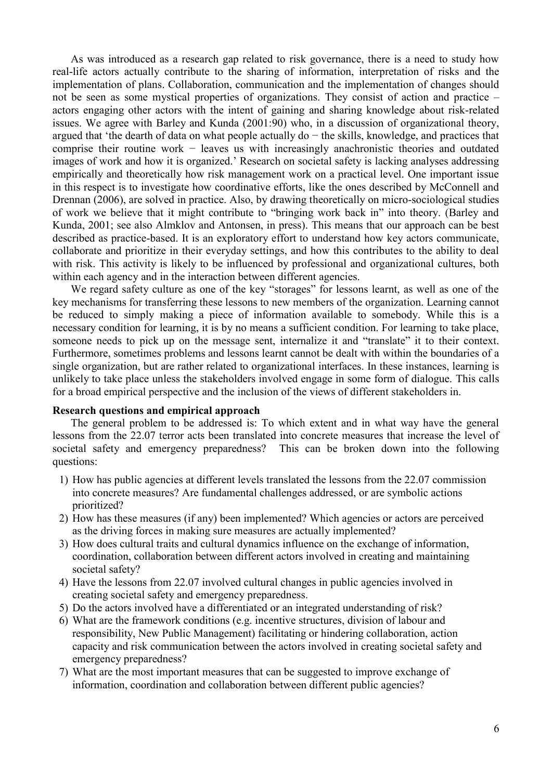As was introduced as a research gap related to risk governance, there is a need to study how real-life actors actually contribute to the sharing of information, interpretation of risks and the implementation of plans. Collaboration, communication and the implementation of changes should not be seen as some mystical properties of organizations. They consist of action and practice – actors engaging other actors with the intent of gaining and sharing knowledge about risk-related issues. We agree with Barley and Kunda (2001:90) who, in a discussion of organizational theory, argued that 'the dearth of data on what people actually do − the skills, knowledge, and practices that comprise their routine work − leaves us with increasingly anachronistic theories and outdated images of work and how it is organized.' Research on societal safety is lacking analyses addressing empirically and theoretically how risk management work on a practical level. One important issue in this respect is to investigate how coordinative efforts, like the ones described by McConnell and Drennan (2006), are solved in practice. Also, by drawing theoretically on micro-sociological studies of work we believe that it might contribute to "bringing work back in" into theory. (Barley and Kunda, 2001; see also Almklov and Antonsen, in press). This means that our approach can be best described as practice-based. It is an exploratory effort to understand how key actors communicate, collaborate and prioritize in their everyday settings, and how this contributes to the ability to deal with risk. This activity is likely to be influenced by professional and organizational cultures, both within each agency and in the interaction between different agencies.

We regard safety culture as one of the key "storages" for lessons learnt, as well as one of the key mechanisms for transferring these lessons to new members of the organization. Learning cannot be reduced to simply making a piece of information available to somebody. While this is a necessary condition for learning, it is by no means a sufficient condition. For learning to take place, someone needs to pick up on the message sent, internalize it and "translate" it to their context. Furthermore, sometimes problems and lessons learnt cannot be dealt with within the boundaries of a single organization, but are rather related to organizational interfaces. In these instances, learning is unlikely to take place unless the stakeholders involved engage in some form of dialogue. This calls for a broad empirical perspective and the inclusion of the views of different stakeholders in.

#### **Research questions and empirical approach**

The general problem to be addressed is: To which extent and in what way have the general lessons from the 22.07 terror acts been translated into concrete measures that increase the level of societal safety and emergency preparedness? This can be broken down into the following questions:

- 1) How has public agencies at different levels translated the lessons from the 22.07 commission into concrete measures? Are fundamental challenges addressed, or are symbolic actions prioritized?
- 2) How has these measures (if any) been implemented? Which agencies or actors are perceived as the driving forces in making sure measures are actually implemented?
- 3) How does cultural traits and cultural dynamics influence on the exchange of information, coordination, collaboration between different actors involved in creating and maintaining societal safety?
- 4) Have the lessons from 22.07 involved cultural changes in public agencies involved in creating societal safety and emergency preparedness.
- 5) Do the actors involved have a differentiated or an integrated understanding of risk?
- 6) What are the framework conditions (e.g. incentive structures, division of labour and responsibility, New Public Management) facilitating or hindering collaboration, action capacity and risk communication between the actors involved in creating societal safety and emergency preparedness?
- 7) What are the most important measures that can be suggested to improve exchange of information, coordination and collaboration between different public agencies?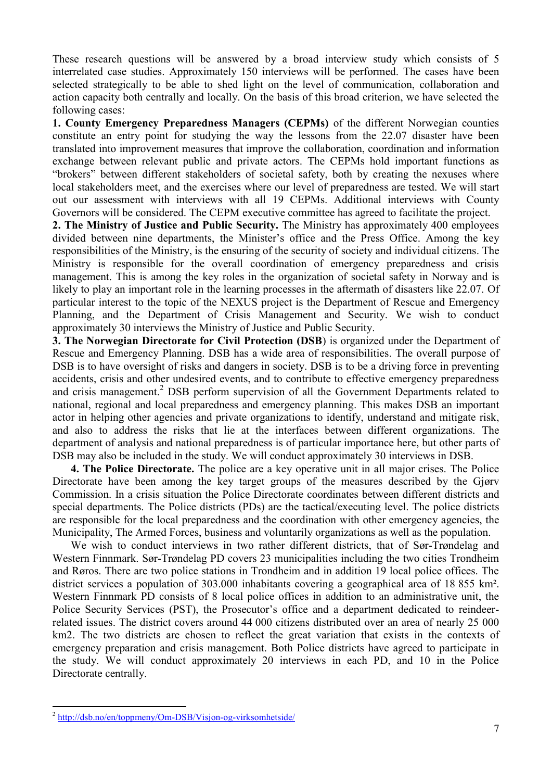These research questions will be answered by a broad interview study which consists of 5 interrelated case studies. Approximately 150 interviews will be performed. The cases have been selected strategically to be able to shed light on the level of communication, collaboration and action capacity both centrally and locally. On the basis of this broad criterion, we have selected the following cases:

**1. County Emergency Preparedness Managers (CEPMs)** of the different Norwegian counties constitute an entry point for studying the way the lessons from the 22.07 disaster have been translated into improvement measures that improve the collaboration, coordination and information exchange between relevant public and private actors. The CEPMs hold important functions as "brokers" between different stakeholders of societal safety, both by creating the nexuses where local stakeholders meet, and the exercises where our level of preparedness are tested. We will start out our assessment with interviews with all 19 CEPMs. Additional interviews with County Governors will be considered. The CEPM executive committee has agreed to facilitate the project.

**2. The Ministry of Justice and Public Security.** The Ministry has approximately 400 employees divided between nine departments, the Minister's office and the Press Office. Among the key responsibilities of the Ministry, is the ensuring of the security of society and individual citizens. The Ministry is responsible for the overall coordination of emergency preparedness and crisis management. This is among the key roles in the organization of societal safety in Norway and is likely to play an important role in the learning processes in the aftermath of disasters like 22.07. Of particular interest to the topic of the NEXUS project is the Department of Rescue and Emergency Planning, and the Department of Crisis Management and Security. We wish to conduct approximately 30 interviews the Ministry of Justice and Public Security.

**3. The Norwegian Directorate for Civil Protection (DSB**) is organized under the Department of Rescue and Emergency Planning. DSB has a wide area of responsibilities. The overall purpose of DSB is to have oversight of risks and dangers in society. DSB is to be a driving force in preventing accidents, crisis and other undesired events, and to contribute to effective emergency preparedness and crisis management.<sup>2</sup> DSB perform supervision of all the Government Departments related to national, regional and local preparedness and emergency planning. This makes DSB an important actor in helping other agencies and private organizations to identify, understand and mitigate risk, and also to address the risks that lie at the interfaces between different organizations. The department of analysis and national preparedness is of particular importance here, but other parts of DSB may also be included in the study. We will conduct approximately 30 interviews in DSB.

**4. The Police Directorate.** The police are a key operative unit in all major crises. The Police Directorate have been among the key target groups of the measures described by the Gjørv Commission. In a crisis situation the Police Directorate coordinates between different districts and special departments. The Police districts (PDs) are the tactical/executing level. The police districts are responsible for the local preparedness and the coordination with other emergency agencies, the Municipality, The Armed Forces, business and voluntarily organizations as well as the population.

We wish to conduct interviews in two rather different districts, that of Sør-Trøndelag and Western Finnmark. Sør-Trøndelag PD covers 23 municipalities including the two cities Trondheim and Røros. There are two police stations in Trondheim and in addition 19 local police offices. The district services a population of 303.000 inhabitants covering a geographical area of 18 855 km². Western Finnmark PD consists of 8 local police offices in addition to an administrative unit, the Police Security Services (PST), the Prosecutor's office and a department dedicated to reindeerrelated issues. The district covers around 44 000 citizens distributed over an area of nearly 25 000 km2. The two districts are chosen to reflect the great variation that exists in the contexts of emergency preparation and crisis management. Both Police districts have agreed to participate in the study. We will conduct approximately 20 interviews in each PD, and 10 in the Police Directorate centrally.

<sup>&</sup>lt;u>.</u> <sup>2</sup> http://dsb.no/en/toppmeny/Om-DSB/Visjon-og-virksomhetside/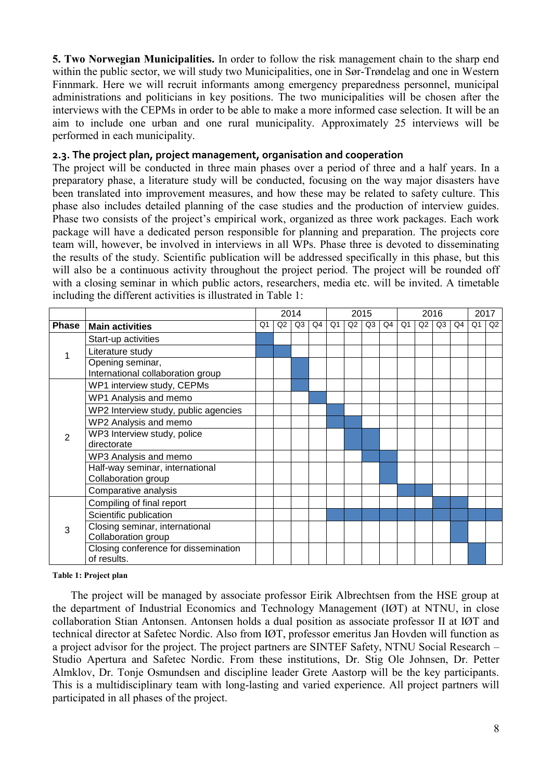**5. Two Norwegian Municipalities.** In order to follow the risk management chain to the sharp end within the public sector, we will study two Municipalities, one in Sør-Trøndelag and one in Western Finnmark. Here we will recruit informants among emergency preparedness personnel, municipal administrations and politicians in key positions. The two municipalities will be chosen after the interviews with the CEPMs in order to be able to make a more informed case selection. It will be an aim to include one urban and one rural municipality. Approximately 25 interviews will be performed in each municipality.

### **2.3. The project plan, project management, organisation and cooperation**

The project will be conducted in three main phases over a period of three and a half years. In a preparatory phase, a literature study will be conducted, focusing on the way major disasters have been translated into improvement measures, and how these may be related to safety culture. This phase also includes detailed planning of the case studies and the production of interview guides. Phase two consists of the project's empirical work, organized as three work packages. Each work package will have a dedicated person responsible for planning and preparation. The projects core team will, however, be involved in interviews in all WPs. Phase three is devoted to disseminating the results of the study. Scientific publication will be addressed specifically in this phase, but this will also be a continuous activity throughout the project period. The project will be rounded off with a closing seminar in which public actors, researchers, media etc. will be invited. A timetable including the different activities is illustrated in Table 1:

|       |                                      | 2014 |                |                | 2015 |                |    |    | 2016 |    |    |    | 2017 |                |    |
|-------|--------------------------------------|------|----------------|----------------|------|----------------|----|----|------|----|----|----|------|----------------|----|
| Phase | <b>Main activities</b>               | Q1   | Q <sub>2</sub> | Q <sub>3</sub> | Q4   | Q <sub>1</sub> | Q2 | Q3 | Q4   | Q1 | Q2 | Q3 | Q4   | Q <sub>1</sub> | Q2 |
|       | Start-up activities                  |      |                |                |      |                |    |    |      |    |    |    |      |                |    |
|       | Literature study                     |      |                |                |      |                |    |    |      |    |    |    |      |                |    |
|       | Opening seminar,                     |      |                |                |      |                |    |    |      |    |    |    |      |                |    |
|       | International collaboration group    |      |                |                |      |                |    |    |      |    |    |    |      |                |    |
| 2     | WP1 interview study, CEPMs           |      |                |                |      |                |    |    |      |    |    |    |      |                |    |
|       | WP1 Analysis and memo                |      |                |                |      |                |    |    |      |    |    |    |      |                |    |
|       | WP2 Interview study, public agencies |      |                |                |      |                |    |    |      |    |    |    |      |                |    |
|       | WP2 Analysis and memo                |      |                |                |      |                |    |    |      |    |    |    |      |                |    |
|       | WP3 Interview study, police          |      |                |                |      |                |    |    |      |    |    |    |      |                |    |
|       | directorate                          |      |                |                |      |                |    |    |      |    |    |    |      |                |    |
|       | WP3 Analysis and memo                |      |                |                |      |                |    |    |      |    |    |    |      |                |    |
|       | Half-way seminar, international      |      |                |                |      |                |    |    |      |    |    |    |      |                |    |
|       | Collaboration group                  |      |                |                |      |                |    |    |      |    |    |    |      |                |    |
|       | Comparative analysis                 |      |                |                |      |                |    |    |      |    |    |    |      |                |    |
| 3     | Compiling of final report            |      |                |                |      |                |    |    |      |    |    |    |      |                |    |
|       | Scientific publication               |      |                |                |      |                |    |    |      |    |    |    |      |                |    |
|       | Closing seminar, international       |      |                |                |      |                |    |    |      |    |    |    |      |                |    |
|       | Collaboration group                  |      |                |                |      |                |    |    |      |    |    |    |      |                |    |
|       | Closing conference for dissemination |      |                |                |      |                |    |    |      |    |    |    |      |                |    |
|       | of results.                          |      |                |                |      |                |    |    |      |    |    |    |      |                |    |

#### **Table 1: Project plan**

The project will be managed by associate professor Eirik Albrechtsen from the HSE group at the department of Industrial Economics and Technology Management (IØT) at NTNU, in close collaboration Stian Antonsen. Antonsen holds a dual position as associate professor II at IØT and technical director at Safetec Nordic. Also from IØT, professor emeritus Jan Hovden will function as a project advisor for the project. The project partners are SINTEF Safety, NTNU Social Research – Studio Apertura and Safetec Nordic. From these institutions, Dr. Stig Ole Johnsen, Dr. Petter Almklov, Dr. Tonje Osmundsen and discipline leader Grete Aastorp will be the key participants. This is a multidisciplinary team with long-lasting and varied experience. All project partners will participated in all phases of the project.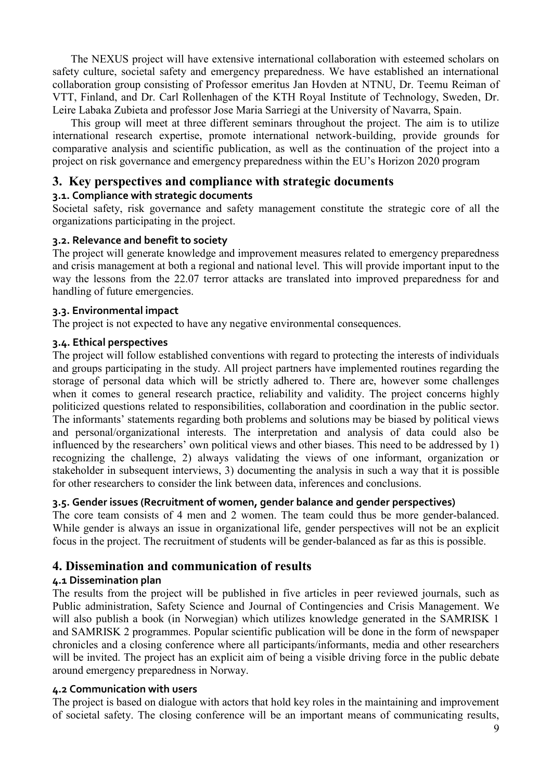The NEXUS project will have extensive international collaboration with esteemed scholars on safety culture, societal safety and emergency preparedness. We have established an international collaboration group consisting of Professor emeritus Jan Hovden at NTNU, Dr. Teemu Reiman of VTT, Finland, and Dr. Carl Rollenhagen of the KTH Royal Institute of Technology, Sweden, Dr. Leire Labaka Zubieta and professor Jose Maria Sarriegi at the University of Navarra, Spain.

This group will meet at three different seminars throughout the project. The aim is to utilize international research expertise, promote international network-building, provide grounds for comparative analysis and scientific publication, as well as the continuation of the project into a project on risk governance and emergency preparedness within the EU's Horizon 2020 program

# **3. Key perspectives and compliance with strategic documents**

# **3.1. Compliance with strategic documents**

Societal safety, risk governance and safety management constitute the strategic core of all the organizations participating in the project.

# **3.2. Relevance and benefit to society**

The project will generate knowledge and improvement measures related to emergency preparedness and crisis management at both a regional and national level. This will provide important input to the way the lessons from the 22.07 terror attacks are translated into improved preparedness for and handling of future emergencies.

# **3.3. Environmental impact**

The project is not expected to have any negative environmental consequences.

# **3.4. Ethical perspectives**

The project will follow established conventions with regard to protecting the interests of individuals and groups participating in the study. All project partners have implemented routines regarding the storage of personal data which will be strictly adhered to. There are, however some challenges when it comes to general research practice, reliability and validity. The project concerns highly politicized questions related to responsibilities, collaboration and coordination in the public sector. The informants' statements regarding both problems and solutions may be biased by political views and personal/organizational interests. The interpretation and analysis of data could also be influenced by the researchers' own political views and other biases. This need to be addressed by 1) recognizing the challenge, 2) always validating the views of one informant, organization or stakeholder in subsequent interviews, 3) documenting the analysis in such a way that it is possible for other researchers to consider the link between data, inferences and conclusions.

# **3.5. Gender issues (Recruitment of women, gender balance and gender perspectives)**

The core team consists of 4 men and 2 women. The team could thus be more gender-balanced. While gender is always an issue in organizational life, gender perspectives will not be an explicit focus in the project. The recruitment of students will be gender-balanced as far as this is possible.

# **4. Dissemination and communication of results**

# **4.1 Dissemination plan**

The results from the project will be published in five articles in peer reviewed journals, such as Public administration, Safety Science and Journal of Contingencies and Crisis Management. We will also publish a book (in Norwegian) which utilizes knowledge generated in the SAMRISK 1 and SAMRISK 2 programmes. Popular scientific publication will be done in the form of newspaper chronicles and a closing conference where all participants/informants, media and other researchers will be invited. The project has an explicit aim of being a visible driving force in the public debate around emergency preparedness in Norway.

# **4.2 Communication with users**

The project is based on dialogue with actors that hold key roles in the maintaining and improvement of societal safety. The closing conference will be an important means of communicating results,